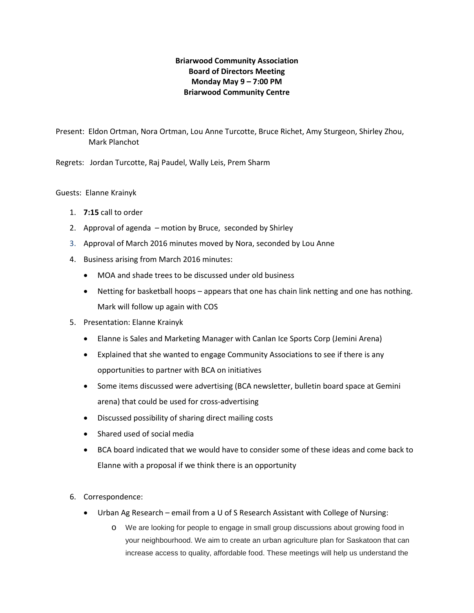# **Briarwood Community Association Board of Directors Meeting Monday May 9 – 7:00 PM Briarwood Community Centre**

Present: Eldon Ortman, Nora Ortman, Lou Anne Turcotte, Bruce Richet, Amy Sturgeon, Shirley Zhou, Mark Planchot

Regrets: Jordan Turcotte, Raj Paudel, Wally Leis, Prem Sharm

Guests: Elanne Krainyk

- 1. **7:15** call to order
- 2. Approval of agenda motion by Bruce, seconded by Shirley
- 3. Approval of March 2016 minutes moved by Nora, seconded by Lou Anne
- 4. Business arising from March 2016 minutes:
	- MOA and shade trees to be discussed under old business
	- Netting for basketball hoops appears that one has chain link netting and one has nothing. Mark will follow up again with COS
- 5. Presentation: Elanne Krainyk
	- Elanne is Sales and Marketing Manager with Canlan Ice Sports Corp (Jemini Arena)
	- Explained that she wanted to engage Community Associations to see if there is any opportunities to partner with BCA on initiatives
	- Some items discussed were advertising (BCA newsletter, bulletin board space at Gemini arena) that could be used for cross-advertising
	- Discussed possibility of sharing direct mailing costs
	- Shared used of social media
	- BCA board indicated that we would have to consider some of these ideas and come back to Elanne with a proposal if we think there is an opportunity
- 6. Correspondence:
	- Urban Ag Research email from a U of S Research Assistant with College of Nursing:
		- o We are looking for people to engage in small group discussions about growing food in your neighbourhood. We aim to create an urban agriculture plan for Saskatoon that can increase access to quality, affordable food. These meetings will help us understand the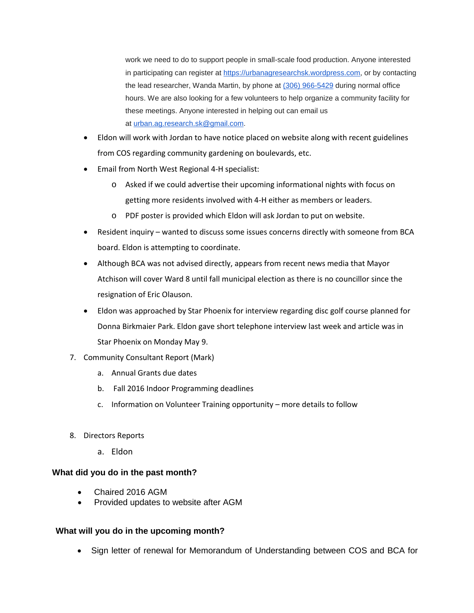work we need to do to support people in small-scale food production. Anyone interested in participating can register at [https://urbanagresearchsk.wordpress.com,](https://urbanagresearchsk.wordpress.com/) or by contacting the lead researcher, Wanda Martin, by phone at [\(306\) 966-5429](tel:%28306%29%20966-5429) during normal office hours. We are also looking for a few volunteers to help organize a community facility for these meetings. Anyone interested in helping out can email us at [urban.ag.research.sk@gmail.com.](mailto:urban.ag.research.sk@gmail.com)

- Eldon will work with Jordan to have notice placed on website along with recent guidelines from COS regarding community gardening on boulevards, etc.
- Email from North West Regional 4-H specialist:
	- o Asked if we could advertise their upcoming informational nights with focus on getting more residents involved with 4-H either as members or leaders.
	- o PDF poster is provided which Eldon will ask Jordan to put on website.
- Resident inquiry wanted to discuss some issues concerns directly with someone from BCA board. Eldon is attempting to coordinate.
- Although BCA was not advised directly, appears from recent news media that Mayor Atchison will cover Ward 8 until fall municipal election as there is no councillor since the resignation of Eric Olauson.
- Eldon was approached by Star Phoenix for interview regarding disc golf course planned for Donna Birkmaier Park. Eldon gave short telephone interview last week and article was in Star Phoenix on Monday May 9.
- 7. Community Consultant Report (Mark)
	- a. Annual Grants due dates
	- b. Fall 2016 Indoor Programming deadlines
	- c. Information on Volunteer Training opportunity more details to follow
- 8. Directors Reports
	- a. Eldon

# **What did you do in the past month?**

- Chaired 2016 AGM
- Provided updates to website after AGM

# **What will you do in the upcoming month?**

• Sign letter of renewal for Memorandum of Understanding between COS and BCA for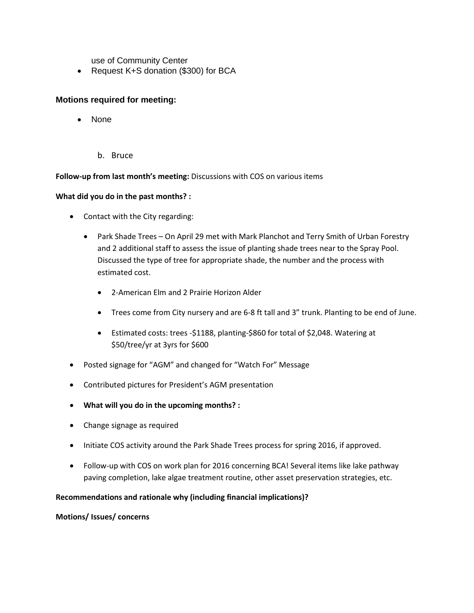use of Community Center

• Request K+S donation (\$300) for BCA

# **Motions required for meeting:**

- None
	- b. Bruce

## **Follow-up from last month's meeting:** Discussions with COS on various items

## **What did you do in the past months? :**

- Contact with the City regarding:
	- Park Shade Trees On April 29 met with Mark Planchot and Terry Smith of Urban Forestry and 2 additional staff to assess the issue of planting shade trees near to the Spray Pool. Discussed the type of tree for appropriate shade, the number and the process with estimated cost.
		- 2-American Elm and 2 Prairie Horizon Alder
		- Trees come from City nursery and are 6-8 ft tall and 3" trunk. Planting to be end of June.
		- Estimated costs: trees -\$1188, planting-\$860 for total of \$2,048. Watering at \$50/tree/yr at 3yrs for \$600
- Posted signage for "AGM" and changed for "Watch For" Message
- Contributed pictures for President's AGM presentation
- **What will you do in the upcoming months? :**
- Change signage as required
- Initiate COS activity around the Park Shade Trees process for spring 2016, if approved.
- Follow-up with COS on work plan for 2016 concerning BCA! Several items like lake pathway paving completion, lake algae treatment routine, other asset preservation strategies, etc.

## **Recommendations and rationale why (including financial implications)?**

## **Motions/ Issues/ concerns**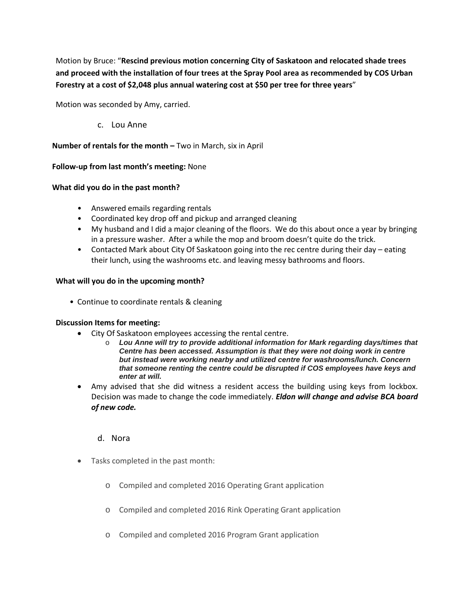Motion by Bruce: "**Rescind previous motion concerning City of Saskatoon and relocated shade trees and proceed with the installation of four trees at the Spray Pool area as recommended by COS Urban Forestry at a cost of \$2,048 plus annual watering cost at \$50 per tree for three years**"

Motion was seconded by Amy, carried.

c. Lou Anne

## **Number of rentals for the month –** Two in March, six in April

## **Follow-up from last month's meeting:** None

## **What did you do in the past month?**

- Answered emails regarding rentals
- Coordinated key drop off and pickup and arranged cleaning
- My husband and I did a major cleaning of the floors. We do this about once a year by bringing in a pressure washer. After a while the mop and broom doesn't quite do the trick.
- Contacted Mark about City Of Saskatoon going into the rec centre during their day eating their lunch, using the washrooms etc. and leaving messy bathrooms and floors.

## **What will you do in the upcoming month?**

• Continue to coordinate rentals & cleaning

## **Discussion Items for meeting:**

- City Of Saskatoon employees accessing the rental centre.
	- o *Lou Anne will try to provide additional information for Mark regarding days/times that Centre has been accessed. Assumption is that they were not doing work in centre but instead were working nearby and utilized centre for washrooms/lunch. Concern that someone renting the centre could be disrupted if COS employees have keys and enter at will.*
- Amy advised that she did witness a resident access the building using keys from lockbox. Decision was made to change the code immediately. *Eldon will change and advise BCA board of new code.*

## d. Nora

- Tasks completed in the past month:
	- o Compiled and completed 2016 Operating Grant application
	- o Compiled and completed 2016 Rink Operating Grant application
	- o Compiled and completed 2016 Program Grant application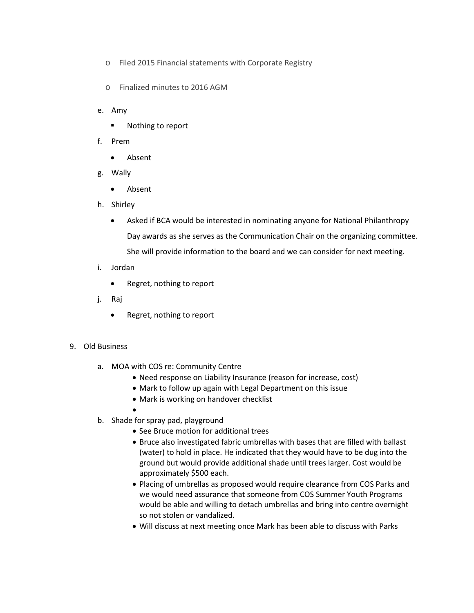- o Filed 2015 Financial statements with Corporate Registry
- o Finalized minutes to 2016 AGM
- e. Amy
	- **Nothing to report**
- f. Prem
	- Absent
- g. Wally
	- Absent
- h. Shirley
	- Asked if BCA would be interested in nominating anyone for National Philanthropy Day awards as she serves as the Communication Chair on the organizing committee. She will provide information to the board and we can consider for next meeting.
- i. Jordan
	- Regret, nothing to report
- j. Raj
	- Regret, nothing to report

## 9. Old Business

- a. MOA with COS re: Community Centre
	- Need response on Liability Insurance (reason for increase, cost)
	- Mark to follow up again with Legal Department on this issue
	- Mark is working on handover checklist
	- •
- b. Shade for spray pad, playground
	- See Bruce motion for additional trees
	- Bruce also investigated fabric umbrellas with bases that are filled with ballast (water) to hold in place. He indicated that they would have to be dug into the ground but would provide additional shade until trees larger. Cost would be approximately \$500 each.
	- Placing of umbrellas as proposed would require clearance from COS Parks and we would need assurance that someone from COS Summer Youth Programs would be able and willing to detach umbrellas and bring into centre overnight so not stolen or vandalized.
	- Will discuss at next meeting once Mark has been able to discuss with Parks